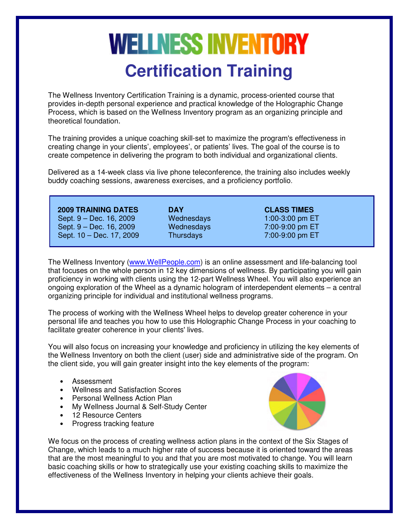# **WELLNESS INVENTORY Certification Training**

The Wellness Inventory Certification Training is a dynamic, process-oriented course that provides in-depth personal experience and practical knowledge of the Holographic Change Process, which is based on the Wellness Inventory program as an organizing principle and theoretical foundation.

The training provides a unique coaching skill-set to maximize the program's effectiveness in creating change in your clients', employees', or patients' lives. The goal of the course is to create competence in delivering the program to both individual and organizational clients.

Delivered as a 14-week class via live phone teleconference, the training also includes weekly buddy coaching sessions, awareness exercises, and a proficiency portfolio.

 **2009 TRAINING DATES DAY CLASS TIMES** Sept. 9 – Dec. 16, 2009 Wednesdays 1:00-3:00 pm ET Sept. 9 – Dec. 16, 2009 Wednesdays 7:00-9:00 pm ET Sept. 10 – Dec. 17, 2009 Thursdays 7:00-9:00 pm ET

The Wellness Inventory (www.WellPeople.com) is an online assessment and life-balancing tool that focuses on the whole person in 12 key dimensions of wellness. By participating you will gain proficiency in working with clients using the 12-part Wellness Wheel. You will also experience an ongoing exploration of the Wheel as a dynamic hologram of interdependent elements – a central organizing principle for individual and institutional wellness programs.

The process of working with the Wellness Wheel helps to develop greater coherence in your personal life and teaches you how to use this Holographic Change Process in your coaching to facilitate greater coherence in your clients' lives.

You will also focus on increasing your knowledge and proficiency in utilizing the key elements of the Wellness Inventory on both the client (user) side and administrative side of the program. On the client side, you will gain greater insight into the key elements of the program:

- Assessment
- Wellness and Satisfaction Scores
- Personal Wellness Action Plan
- My Wellness Journal & Self-Study Center
- 12 Resource Centers
- Progress tracking feature



We focus on the process of creating wellness action plans in the context of the Six Stages of Change, which leads to a much higher rate of success because it is oriented toward the areas that are the most meaningful to you and that you are most motivated to change. You will learn basic coaching skills or how to strategically use your existing coaching skills to maximize the effectiveness of the Wellness Inventory in helping your clients achieve their goals.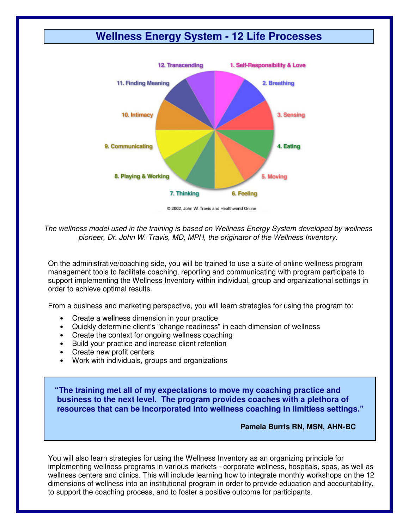# **Wellness Energy System - 12 Life Processes**



2002. John W. Travis and Healthworld Online

The wellness model used in the training is based on Wellness Energy System developed by wellness pioneer, Dr. John W. Travis, MD, MPH, the originator of the Wellness Inventory.

On the administrative/coaching side, you will be trained to use a suite of online wellness program management tools to facilitate coaching, reporting and communicating with program participate to support implementing the Wellness Inventory within individual, group and organizational settings in order to achieve optimal results.

From a business and marketing perspective, you will learn strategies for using the program to:

- Create a wellness dimension in your practice
- Quickly determine client's "change readiness" in each dimension of wellness
- Create the context for ongoing wellness coaching
- Build your practice and increase client retention
- Create new profit centers
- Work with individuals, groups and organizations

 **"The training met all of my expectations to move my coaching practice and business to the next level. The program provides coaches with a plethora of resources that can be incorporated into wellness coaching in limitless settings."** 

#### **Pamela Burris RN, MSN, AHN-BC**

You will also learn strategies for using the Wellness Inventory as an organizing principle for implementing wellness programs in various markets - corporate wellness, hospitals, spas, as well as wellness centers and clinics. This will include learning how to integrate monthly workshops on the 12 dimensions of wellness into an institutional program in order to provide education and accountability, to support the coaching process, and to foster a positive outcome for participants.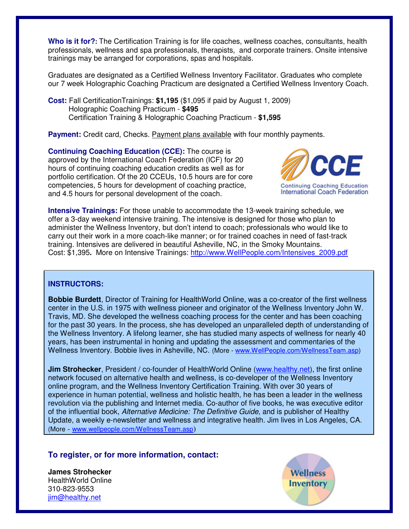**Who is it for?:** The Certification Training is for life coaches, wellness coaches, consultants, health professionals, wellness and spa professionals, therapists, and corporate trainers. Onsite intensive trainings may be arranged for corporations, spas and hospitals.

Graduates are designated as a Certified Wellness Inventory Facilitator. Graduates who complete our 7 week Holographic Coaching Practicum are designated a Certified Wellness Inventory Coach.

**Cost:** Fall CertificationTrainings: **\$1,195** (\$1,095 if paid by August 1, 2009) Holographic Coaching Practicum - **\$495** Certification Training & Holographic Coaching Practicum - **\$1,595**

**Payment:** Credit card, Checks. Payment plans available with four monthly payments.

**Continuing Coaching Education (CCE):** The course is approved by the International Coach Federation (ICF) for 20 hours of continuing coaching education credits as well as for portfolio certification. Of the 20 CCEUs, 10.5 hours are for core competencies, 5 hours for development of coaching practice, and 4.5 hours for personal development of the coach.



**Intensive Trainings:** For those unable to accommodate the 13-week training schedule, we offer a 3-day weekend intensive training. The intensive is designed for those who plan to administer the Wellness Inventory, but don't intend to coach; professionals who would like to carry out their work in a more coach-like manner; or for trained coaches in need of fast-track training. Intensives are delivered in beautiful Asheville, NC, in the Smoky Mountains. Cost: \$1,395**.** More on Intensive Trainings: http://www.WellPeople.com/Intensives\_2009.pdf

## **INSTRUCTORS:**

**Bobbie Burdett**, Director of Training for HealthWorld Online, was a co-creator of the first wellness center in the U.S. in 1975 with wellness pioneer and originator of the Wellness Inventory John W. Travis, MD. She developed the wellness coaching process for the center and has been coaching for the past 30 years. In the process, she has developed an unparalleled depth of understanding of the Wellness Inventory. A lifelong learner, she has studied many aspects of wellness for nearly 40 years, has been instrumental in honing and updating the assessment and commentaries of the Wellness Inventory. Bobbie lives in Asheville, NC. (More - www.WellPeople.com/WellnessTeam.asp)

**Jim Strohecker**, President / co-founder of HealthWorld Online (www.healthy.net), the first online network focused on alternative health and wellness, is co-developer of the Wellness Inventory online program, and the Wellness Inventory Certification Training. With over 30 years of experience in human potential, wellness and holistic health, he has been a leader in the wellness revolution via the publishing and Internet media. Co-author of five books, he was executive editor of the influential book, Alternative Medicine: The Definitive Guide, and is publisher of Healthy Update, a weekly e-newsletter and wellness and integrative health. Jim lives in Los Angeles, CA. (More - www.wellpeople.com/WellnessTeam.asp)

## **To register, or for more information, contact:**

**James Strohecker** HealthWorld Online 310-823-9553 iim@healthy.net

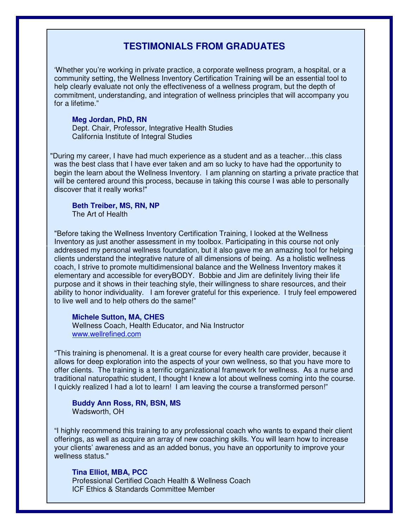## **TESTIMONIALS FROM GRADUATES**

 'Whether you're working in private practice, a corporate wellness program, a hospital, or a community setting, the Wellness Inventory Certification Training will be an essential tool to help clearly evaluate not only the effectiveness of a wellness program, but the depth of commitment, understanding, and integration of wellness principles that will accompany you for a lifetime."

#### **Meg Jordan, PhD, RN**

Dept. Chair, Professor, Integrative Health Studies California Institute of Integral Studies

 "During my career, I have had much experience as a student and as a teacher…this class was the best class that I have ever taken and am so lucky to have had the opportunity to begin the learn about the Wellness Inventory. I am planning on starting a private practice that will be centered around this process, because in taking this course I was able to personally discover that it really works!"

#### **Beth Treiber, MS, RN, NP**  The Art of Health

 "Before taking the Wellness Inventory Certification Training, I looked at the Wellness Inventory as just another assessment in my toolbox. Participating in this course not only addressed my personal wellness foundation, but it also gave me an amazing tool for helping clients understand the integrative nature of all dimensions of being. As a holistic wellness coach, I strive to promote multidimensional balance and the Wellness Inventory makes it elementary and accessible for everyBODY. Bobbie and Jim are definitely living their life purpose and it shows in their teaching style, their willingness to share resources, and their ability to honor individuality. I am forever grateful for this experience. I truly feel empowered to live well and to help others do the same!"

#### **Michele Sutton, MA, CHES**

Wellness Coach, Health Educator, and Nia Instructor www.wellrefined.com

 "This training is phenomenal. It is a great course for every health care provider, because it allows for deep exploration into the aspects of your own wellness, so that you have more to offer clients. The training is a terrific organizational framework for wellness. As a nurse and traditional naturopathic student, I thought I knew a lot about wellness coming into the course. I quickly realized I had a lot to learn! I am leaving the course a transformed person!"

#### **Buddy Ann Ross, RN, BSN, MS**  Wadsworth, OH

 "I highly recommend this training to any professional coach who wants to expand their client offerings, as well as acquire an array of new coaching skills. You will learn how to increase your clients' awareness and as an added bonus, you have an opportunity to improve your wellness status."

#### **Tina Elliot, MBA, PCC**

 Professional Certified Coach Health & Wellness Coach ICF Ethics & Standards Committee Member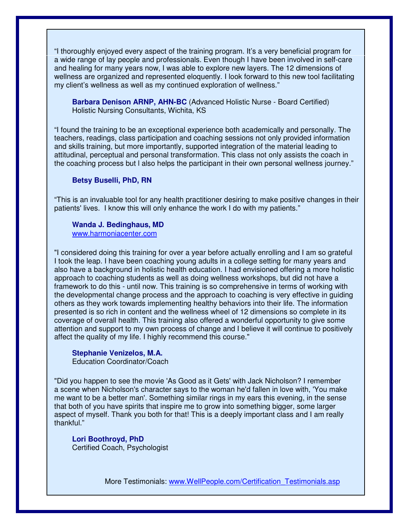"I thoroughly enjoyed every aspect of the training program. It's a very beneficial program for a wide range of lay people and professionals. Even though I have been involved in self-care and healing for many years now, I was able to explore new layers. The 12 dimensions of wellness are organized and represented eloquently. I look forward to this new tool facilitating my client's wellness as well as my continued exploration of wellness."

**Barbara Denison ARNP, AHN-BC** (Advanced Holistic Nurse - Board Certified) Holistic Nursing Consultants, Wichita, KS

 "I found the training to be an exceptional experience both academically and personally. The teachers, readings, class participation and coaching sessions not only provided information and skills training, but more importantly, supported integration of the material leading to attitudinal, perceptual and personal transformation. This class not only assists the coach in the coaching process but l also helps the participant in their own personal wellness journey."

#### **Betsy Buselli, PhD, RN**

 "This is an invaluable tool for any health practitioner desiring to make positive changes in their patients' lives. I know this will only enhance the work I do with my patients."

#### **Wanda J. Bedinghaus, MD**

www.harmoniacenter.com

 "I considered doing this training for over a year before actually enrolling and I am so grateful I took the leap. I have been coaching young adults in a college setting for many years and also have a background in holistic health education. I had envisioned offering a more holistic approach to coaching students as well as doing wellness workshops, but did not have a framework to do this - until now. This training is so comprehensive in terms of working with the developmental change process and the approach to coaching is very effective in guiding others as they work towards implementing healthy behaviors into their life. The information presented is so rich in content and the wellness wheel of 12 dimensions so complete in its coverage of overall health. This training also offered a wonderful opportunity to give some attention and support to my own process of change and I believe it will continue to positively affect the quality of my life. I highly recommend this course."

## **Stephanie Venizelos, M.A.**

Education Coordinator/Coach

 "Did you happen to see the movie 'As Good as it Gets' with Jack Nicholson? I remember a scene when Nicholson's character says to the woman he'd fallen in love with, 'You make me want to be a better man'. Something similar rings in my ears this evening, in the sense that both of you have spirits that inspire me to grow into something bigger, some larger aspect of myself. Thank you both for that! This is a deeply important class and I am really thankful."

**Lori Boothroyd, PhD**  Certified Coach, Psychologist

More Testimonials: www.WellPeople.com/Certification\_Testimonials.asp